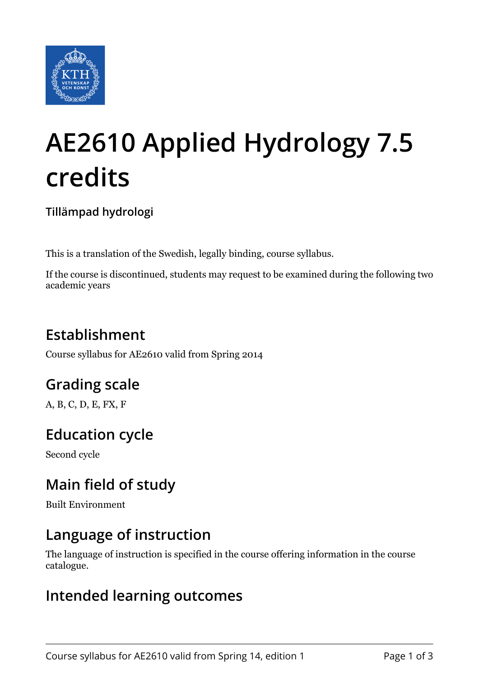

# **AE2610 Applied Hydrology 7.5 credits**

**Tillämpad hydrologi**

This is a translation of the Swedish, legally binding, course syllabus.

If the course is discontinued, students may request to be examined during the following two academic years

## **Establishment**

Course syllabus for AE2610 valid from Spring 2014

## **Grading scale**

A, B, C, D, E, FX, F

## **Education cycle**

Second cycle

## **Main field of study**

Built Environment

#### **Language of instruction**

The language of instruction is specified in the course offering information in the course catalogue.

#### **Intended learning outcomes**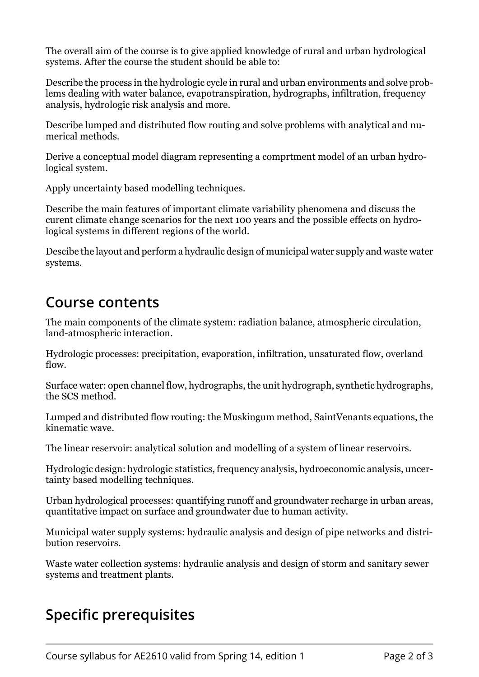The overall aim of the course is to give applied knowledge of rural and urban hydrological systems. After the course the student should be able to:

Describe the process in the hydrologic cycle in rural and urban environments and solve problems dealing with water balance, evapotranspiration, hydrographs, infiltration, frequency analysis, hydrologic risk analysis and more.

Describe lumped and distributed flow routing and solve problems with analytical and numerical methods.

Derive a conceptual model diagram representing a comprtment model of an urban hydrological system.

Apply uncertainty based modelling techniques.

Describe the main features of important climate variability phenomena and discuss the curent climate change scenarios for the next 100 years and the possible effects on hydrological systems in different regions of the world.

Descibe the layout and perform a hydraulic design of municipal water supply and waste water systems.

#### **Course contents**

The main components of the climate system: radiation balance, atmospheric circulation, land-atmospheric interaction.

Hydrologic processes: precipitation, evaporation, infiltration, unsaturated flow, overland flow.

Surface water: open channel flow, hydrographs, the unit hydrograph, synthetic hydrographs, the SCS method.

Lumped and distributed flow routing: the Muskingum method, SaintVenants equations, the kinematic wave.

The linear reservoir: analytical solution and modelling of a system of linear reservoirs.

Hydrologic design: hydrologic statistics, frequency analysis, hydroeconomic analysis, uncertainty based modelling techniques.

Urban hydrological processes: quantifying runoff and groundwater recharge in urban areas, quantitative impact on surface and groundwater due to human activity.

Municipal water supply systems: hydraulic analysis and design of pipe networks and distribution reservoirs.

Waste water collection systems: hydraulic analysis and design of storm and sanitary sewer systems and treatment plants.

## **Specific prerequisites**